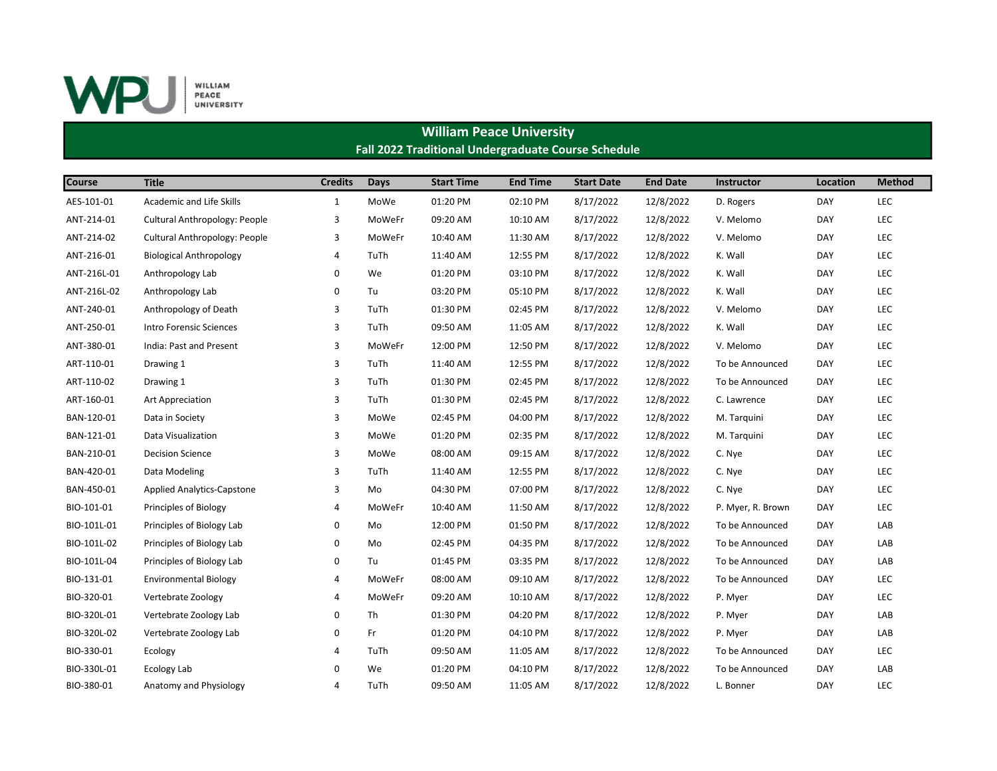

## William Peace University Fall 2022 Traditional Undergraduate Course Schedule

| <b>Course</b> | <b>Title</b>                      | <b>Credits</b> | Days   | <b>Start Time</b> | <b>End Time</b> | <b>Start Date</b> | <b>End Date</b> | <b>Instructor</b> | Location   | <b>Method</b> |
|---------------|-----------------------------------|----------------|--------|-------------------|-----------------|-------------------|-----------------|-------------------|------------|---------------|
| AES-101-01    | Academic and Life Skills          | $\mathbf{1}$   | MoWe   | 01:20 PM          | 02:10 PM        | 8/17/2022         | 12/8/2022       | D. Rogers         | DAY        | LEC           |
| ANT-214-01    | Cultural Anthropology: People     | 3              | MoWeFr | 09:20 AM          | 10:10 AM        | 8/17/2022         | 12/8/2022       | V. Melomo         | DAY        | LEC           |
| ANT-214-02    | Cultural Anthropology: People     | 3              | MoWeFr | 10:40 AM          | 11:30 AM        | 8/17/2022         | 12/8/2022       | V. Melomo         | DAY        | LEC           |
| ANT-216-01    | <b>Biological Anthropology</b>    | 4              | TuTh   | 11:40 AM          | 12:55 PM        | 8/17/2022         | 12/8/2022       | K. Wall           | <b>DAY</b> | LEC           |
| ANT-216L-01   | Anthropology Lab                  | $\mathbf 0$    | We     | 01:20 PM          | 03:10 PM        | 8/17/2022         | 12/8/2022       | K. Wall           | <b>DAY</b> | LEC           |
| ANT-216L-02   | Anthropology Lab                  | 0              | Tu     | 03:20 PM          | 05:10 PM        | 8/17/2022         | 12/8/2022       | K. Wall           | DAY        | LEC           |
| ANT-240-01    | Anthropology of Death             | 3              | TuTh   | 01:30 PM          | 02:45 PM        | 8/17/2022         | 12/8/2022       | V. Melomo         | <b>DAY</b> | LEC           |
| ANT-250-01    | Intro Forensic Sciences           | 3              | TuTh   | 09:50 AM          | 11:05 AM        | 8/17/2022         | 12/8/2022       | K. Wall           | DAY        | LEC           |
| ANT-380-01    | India: Past and Present           | 3              | MoWeFr | 12:00 PM          | 12:50 PM        | 8/17/2022         | 12/8/2022       | V. Melomo         | DAY        | LEC           |
| ART-110-01    | Drawing 1                         | 3              | TuTh   | 11:40 AM          | 12:55 PM        | 8/17/2022         | 12/8/2022       | To be Announced   | <b>DAY</b> | LEC           |
| ART-110-02    | Drawing 1                         | 3              | TuTh   | 01:30 PM          | 02:45 PM        | 8/17/2022         | 12/8/2022       | To be Announced   | DAY        | LEC           |
| ART-160-01    | Art Appreciation                  | 3              | TuTh   | 01:30 PM          | 02:45 PM        | 8/17/2022         | 12/8/2022       | C. Lawrence       | DAY        | LEC           |
| BAN-120-01    | Data in Society                   | 3              | MoWe   | 02:45 PM          | 04:00 PM        | 8/17/2022         | 12/8/2022       | M. Tarquini       | DAY        | LEC           |
| BAN-121-01    | Data Visualization                | 3              | MoWe   | 01:20 PM          | 02:35 PM        | 8/17/2022         | 12/8/2022       | M. Tarquini       | <b>DAY</b> | LEC           |
| BAN-210-01    | <b>Decision Science</b>           | 3              | MoWe   | 08:00 AM          | 09:15 AM        | 8/17/2022         | 12/8/2022       | C. Nye            | <b>DAY</b> | LEC           |
| BAN-420-01    | Data Modeling                     | 3              | TuTh   | 11:40 AM          | 12:55 PM        | 8/17/2022         | 12/8/2022       | C. Nye            | DAY        | LEC           |
| BAN-450-01    | <b>Applied Analytics-Capstone</b> | 3              | Mo     | 04:30 PM          | 07:00 PM        | 8/17/2022         | 12/8/2022       | C. Nye            | <b>DAY</b> | LEC           |
| BIO-101-01    | Principles of Biology             | $\overline{4}$ | MoWeFr | 10:40 AM          | 11:50 AM        | 8/17/2022         | 12/8/2022       | P. Myer, R. Brown | <b>DAY</b> | LEC           |
| BIO-101L-01   | Principles of Biology Lab         | 0              | Mo     | 12:00 PM          | 01:50 PM        | 8/17/2022         | 12/8/2022       | To be Announced   | <b>DAY</b> | LAB           |
| BIO-101L-02   | Principles of Biology Lab         | $\mathbf 0$    | Mo     | 02:45 PM          | 04:35 PM        | 8/17/2022         | 12/8/2022       | To be Announced   | <b>DAY</b> | LAB           |
| BIO-101L-04   | Principles of Biology Lab         | 0              | Tu     | 01:45 PM          | 03:35 PM        | 8/17/2022         | 12/8/2022       | To be Announced   | <b>DAY</b> | LAB           |
| BIO-131-01    | <b>Environmental Biology</b>      | 4              | MoWeFr | 08:00 AM          | 09:10 AM        | 8/17/2022         | 12/8/2022       | To be Announced   | <b>DAY</b> | <b>LEC</b>    |
| BIO-320-01    | Vertebrate Zoology                | 4              | MoWeFr | 09:20 AM          | 10:10 AM        | 8/17/2022         | 12/8/2022       | P. Myer           | DAY        | LEC           |
| BIO-320L-01   | Vertebrate Zoology Lab            | $\mathbf 0$    | Th     | 01:30 PM          | 04:20 PM        | 8/17/2022         | 12/8/2022       | P. Myer           | <b>DAY</b> | LAB           |
| BIO-320L-02   | Vertebrate Zoology Lab            | 0              | Fr     | 01:20 PM          | 04:10 PM        | 8/17/2022         | 12/8/2022       | P. Myer           | <b>DAY</b> | LAB           |
| BIO-330-01    | Ecology                           | $\overline{4}$ | TuTh   | 09:50 AM          | 11:05 AM        | 8/17/2022         | 12/8/2022       | To be Announced   | DAY        | LEC           |
| BIO-330L-01   | Ecology Lab                       | $\Omega$       | We     | 01:20 PM          | 04:10 PM        | 8/17/2022         | 12/8/2022       | To be Announced   | DAY        | LAB           |
| BIO-380-01    | Anatomy and Physiology            | $\overline{4}$ | TuTh   | 09:50 AM          | 11:05 AM        | 8/17/2022         | 12/8/2022       | L. Bonner         | DAY        | LEC           |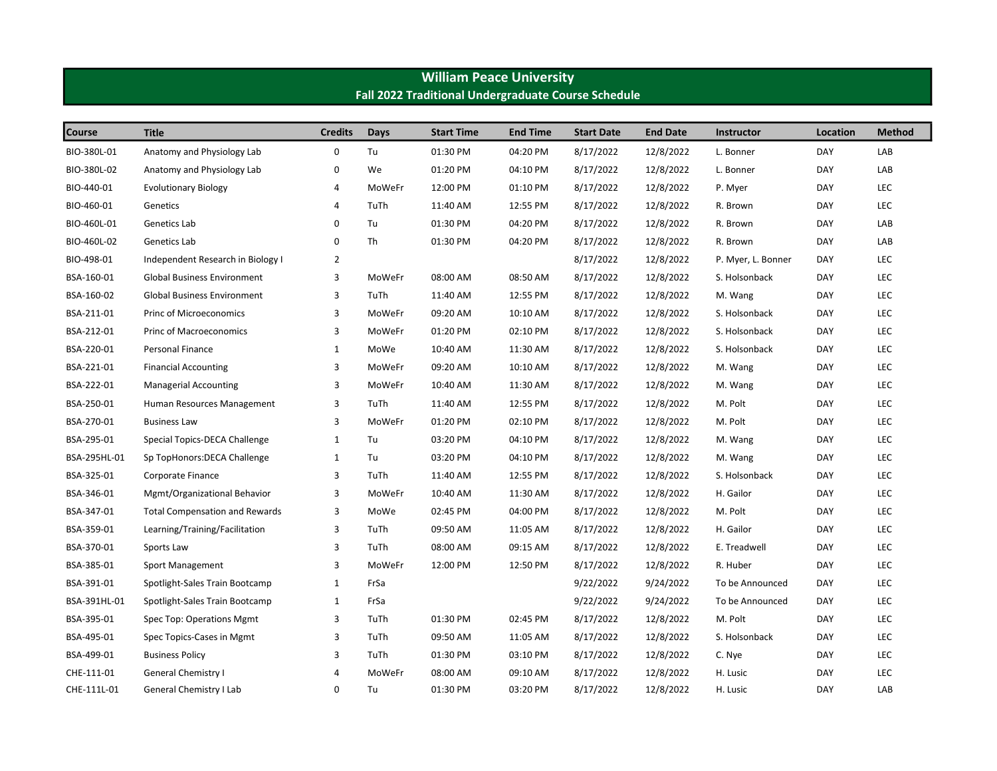| Fall 2022 Traditional Undergraduate Course Schedule |                                       |                |             |                   |                 |                   |                 |                    |            |               |  |
|-----------------------------------------------------|---------------------------------------|----------------|-------------|-------------------|-----------------|-------------------|-----------------|--------------------|------------|---------------|--|
| <b>Course</b>                                       | <b>Title</b>                          | <b>Credits</b> | <b>Days</b> | <b>Start Time</b> | <b>End Time</b> | <b>Start Date</b> | <b>End Date</b> | <b>Instructor</b>  | Location   | <b>Method</b> |  |
| BIO-380L-01                                         | Anatomy and Physiology Lab            | 0              | Tu          | 01:30 PM          | 04:20 PM        | 8/17/2022         | 12/8/2022       | L. Bonner          | DAY        | LAB           |  |
| BIO-380L-02                                         | Anatomy and Physiology Lab            | 0              | We          | 01:20 PM          | 04:10 PM        | 8/17/2022         | 12/8/2022       | L. Bonner          | DAY        | LAB           |  |
| BIO-440-01                                          | <b>Evolutionary Biology</b>           | 4              | MoWeFr      | 12:00 PM          | 01:10 PM        | 8/17/2022         | 12/8/2022       | P. Myer            | <b>DAY</b> | LEC           |  |
| BIO-460-01                                          | Genetics                              | 4              | TuTh        | 11:40 AM          | 12:55 PM        | 8/17/2022         | 12/8/2022       | R. Brown           | DAY        | LEC           |  |
| BIO-460L-01                                         | Genetics Lab                          | 0              | Tu          | 01:30 PM          | 04:20 PM        | 8/17/2022         | 12/8/2022       | R. Brown           | DAY        | LAB           |  |
| BIO-460L-02                                         | Genetics Lab                          | $\pmb{0}$      | Th          | 01:30 PM          | 04:20 PM        | 8/17/2022         | 12/8/2022       | R. Brown           | DAY        | LAB           |  |
| BIO-498-01                                          | Independent Research in Biology I     | $\overline{2}$ |             |                   |                 | 8/17/2022         | 12/8/2022       | P. Myer, L. Bonner | DAY        | LEC           |  |
| BSA-160-01                                          | Global Business Environment           | 3              | MoWeFr      | 08:00 AM          | 08:50 AM        | 8/17/2022         | 12/8/2022       | S. Holsonback      | DAY        | LEC           |  |
| BSA-160-02                                          | <b>Global Business Environment</b>    | 3              | TuTh        | 11:40 AM          | 12:55 PM        | 8/17/2022         | 12/8/2022       | M. Wang            | <b>DAY</b> | LEC           |  |
| BSA-211-01                                          | <b>Princ of Microeconomics</b>        | 3              | MoWeFr      | 09:20 AM          | 10:10 AM        | 8/17/2022         | 12/8/2022       | S. Holsonback      | <b>DAY</b> | LEC           |  |
| BSA-212-01                                          | <b>Princ of Macroeconomics</b>        | 3              | MoWeFr      | 01:20 PM          | 02:10 PM        | 8/17/2022         | 12/8/2022       | S. Holsonback      | <b>DAY</b> | LEC           |  |
| BSA-220-01                                          | Personal Finance                      | $\mathbf{1}$   | MoWe        | 10:40 AM          | 11:30 AM        | 8/17/2022         | 12/8/2022       | S. Holsonback      | DAY        | LEC           |  |
| BSA-221-01                                          | <b>Financial Accounting</b>           | 3              | MoWeFr      | 09:20 AM          | 10:10 AM        | 8/17/2022         | 12/8/2022       | M. Wang            | <b>DAY</b> | LEC           |  |
| BSA-222-01                                          | <b>Managerial Accounting</b>          | 3              | MoWeFr      | 10:40 AM          | 11:30 AM        | 8/17/2022         | 12/8/2022       | M. Wang            | <b>DAY</b> | LEC           |  |
| BSA-250-01                                          | Human Resources Management            | 3              | TuTh        | 11:40 AM          | 12:55 PM        | 8/17/2022         | 12/8/2022       | M. Polt            | DAY        | LEC           |  |
| BSA-270-01                                          | <b>Business Law</b>                   | 3              | MoWeFr      | 01:20 PM          | 02:10 PM        | 8/17/2022         | 12/8/2022       | M. Polt            | <b>DAY</b> | LEC           |  |
| BSA-295-01                                          | Special Topics-DECA Challenge         | 1              | Tu          | 03:20 PM          | 04:10 PM        | 8/17/2022         | 12/8/2022       | M. Wang            | DAY        | LEC           |  |
| BSA-295HL-01                                        | Sp TopHonors: DECA Challenge          | $\mathbf{1}$   | Tu          | 03:20 PM          | 04:10 PM        | 8/17/2022         | 12/8/2022       | M. Wang            | <b>DAY</b> | LEC           |  |
| BSA-325-01                                          | Corporate Finance                     | 3              | TuTh        | 11:40 AM          | 12:55 PM        | 8/17/2022         | 12/8/2022       | S. Holsonback      | <b>DAY</b> | LEC           |  |
| BSA-346-01                                          | Mgmt/Organizational Behavior          | 3              | MoWeFr      | 10:40 AM          | 11:30 AM        | 8/17/2022         | 12/8/2022       | H. Gailor          | <b>DAY</b> | LEC           |  |
| BSA-347-01                                          | <b>Total Compensation and Rewards</b> | 3              | MoWe        | 02:45 PM          | 04:00 PM        | 8/17/2022         | 12/8/2022       | M. Polt            | DAY        | LEC           |  |
| BSA-359-01                                          | Learning/Training/Facilitation        | 3              | TuTh        | 09:50 AM          | 11:05 AM        | 8/17/2022         | 12/8/2022       | H. Gailor          | <b>DAY</b> | LEC           |  |
| BSA-370-01                                          | Sports Law                            | 3              | TuTh        | 08:00 AM          | 09:15 AM        | 8/17/2022         | 12/8/2022       | E. Treadwell       | DAY        | LEC           |  |
| BSA-385-01                                          | Sport Management                      | 3              | MoWeFr      | 12:00 PM          | 12:50 PM        | 8/17/2022         | 12/8/2022       | R. Huber           | <b>DAY</b> | LEC           |  |
| BSA-391-01                                          | Spotlight-Sales Train Bootcamp        | $\mathbf{1}$   | FrSa        |                   |                 | 9/22/2022         | 9/24/2022       | To be Announced    | DAY        | <b>LEC</b>    |  |
| BSA-391HL-01                                        | Spotlight-Sales Train Bootcamp        | 1              | FrSa        |                   |                 | 9/22/2022         | 9/24/2022       | To be Announced    | DAY        | LEC           |  |
| BSA-395-01                                          | Spec Top: Operations Mgmt             | 3              | TuTh        | 01:30 PM          | 02:45 PM        | 8/17/2022         | 12/8/2022       | M. Polt            | <b>DAY</b> | LEC           |  |
| BSA-495-01                                          | Spec Topics-Cases in Mgmt             | 3              | TuTh        | 09:50 AM          | 11:05 AM        | 8/17/2022         | 12/8/2022       | S. Holsonback      | DAY        | LEC           |  |
| BSA-499-01                                          | <b>Business Policy</b>                | 3              | TuTh        | 01:30 PM          | 03:10 PM        | 8/17/2022         | 12/8/2022       | C. Nye             | <b>DAY</b> | LEC           |  |
| CHE-111-01                                          | <b>General Chemistry I</b>            | 4              | MoWeFr      | 08:00 AM          | 09:10 AM        | 8/17/2022         | 12/8/2022       | H. Lusic           | <b>DAY</b> | LEC           |  |
| CHE-111L-01                                         | General Chemistry I Lab               | 0              | Tu          | 01:30 PM          | 03:20 PM        | 8/17/2022         | 12/8/2022       | H. Lusic           | DAY        | LAB           |  |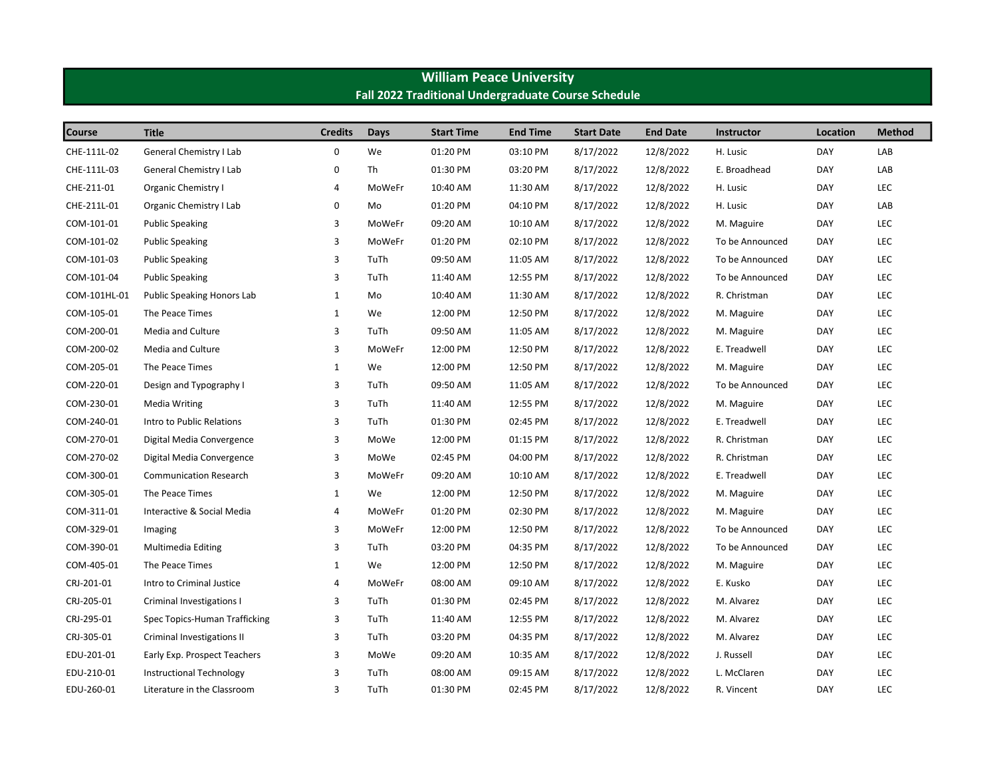| Fall 2022 Traditional Undergraduate Course Schedule |                                   |                |             |                   |                 |                   |                 |                 |            |               |  |
|-----------------------------------------------------|-----------------------------------|----------------|-------------|-------------------|-----------------|-------------------|-----------------|-----------------|------------|---------------|--|
| <b>Course</b>                                       | <b>Title</b>                      | <b>Credits</b> | <b>Days</b> | <b>Start Time</b> | <b>End Time</b> | <b>Start Date</b> | <b>End Date</b> | Instructor      | Location   | <b>Method</b> |  |
| CHE-111L-02                                         | General Chemistry I Lab           | $\pmb{0}$      | We          | 01:20 PM          | 03:10 PM        | 8/17/2022         | 12/8/2022       | H. Lusic        | DAY        | LAB           |  |
| CHE-111L-03                                         | General Chemistry I Lab           | 0              | Th          | 01:30 PM          | 03:20 PM        | 8/17/2022         | 12/8/2022       | E. Broadhead    | DAY        | LAB           |  |
| CHE-211-01                                          | Organic Chemistry I               | $\overline{4}$ | MoWeFr      | 10:40 AM          | 11:30 AM        | 8/17/2022         | 12/8/2022       | H. Lusic        | <b>DAY</b> | <b>LEC</b>    |  |
| CHE-211L-01                                         | Organic Chemistry I Lab           | 0              | Mo          | 01:20 PM          | 04:10 PM        | 8/17/2022         | 12/8/2022       | H. Lusic        | <b>DAY</b> | LAB           |  |
| COM-101-01                                          | <b>Public Speaking</b>            | 3              | MoWeFr      | 09:20 AM          | 10:10 AM        | 8/17/2022         | 12/8/2022       | M. Maguire      | DAY        | LEC           |  |
| COM-101-02                                          | <b>Public Speaking</b>            | 3              | MoWeFr      | 01:20 PM          | 02:10 PM        | 8/17/2022         | 12/8/2022       | To be Announced | DAY        | LEC           |  |
| COM-101-03                                          | <b>Public Speaking</b>            | 3              | TuTh        | 09:50 AM          | 11:05 AM        | 8/17/2022         | 12/8/2022       | To be Announced | DAY        | LEC           |  |
| COM-101-04                                          | <b>Public Speaking</b>            | 3              | TuTh        | 11:40 AM          | 12:55 PM        | 8/17/2022         | 12/8/2022       | To be Announced | DAY        | LEC           |  |
| COM-101HL-01                                        | <b>Public Speaking Honors Lab</b> | $\mathbf{1}$   | Mo          | 10:40 AM          | 11:30 AM        | 8/17/2022         | 12/8/2022       | R. Christman    | DAY        | LEC           |  |
| COM-105-01                                          | The Peace Times                   | $\mathbf 1$    | We          | 12:00 PM          | 12:50 PM        | 8/17/2022         | 12/8/2022       | M. Maguire      | DAY        | LEC           |  |
| COM-200-01                                          | Media and Culture                 | 3              | TuTh        | 09:50 AM          | 11:05 AM        | 8/17/2022         | 12/8/2022       | M. Maguire      | DAY        | LEC           |  |
| COM-200-02                                          | Media and Culture                 | 3              | MoWeFr      | 12:00 PM          | 12:50 PM        | 8/17/2022         | 12/8/2022       | E. Treadwell    | DAY        | LEC           |  |
| COM-205-01                                          | The Peace Times                   | $\mathbf 1$    | We          | 12:00 PM          | 12:50 PM        | 8/17/2022         | 12/8/2022       | M. Maguire      | DAY        | LEC           |  |
| COM-220-01                                          | Design and Typography I           | 3              | TuTh        | 09:50 AM          | 11:05 AM        | 8/17/2022         | 12/8/2022       | To be Announced | DAY        | LEC           |  |
| COM-230-01                                          | <b>Media Writing</b>              | 3              | TuTh        | 11:40 AM          | 12:55 PM        | 8/17/2022         | 12/8/2022       | M. Maguire      | DAY        | LEC           |  |
| COM-240-01                                          | Intro to Public Relations         | 3              | TuTh        | 01:30 PM          | 02:45 PM        | 8/17/2022         | 12/8/2022       | E. Treadwell    | DAY        | LEC           |  |
| COM-270-01                                          | Digital Media Convergence         | 3              | MoWe        | 12:00 PM          | 01:15 PM        | 8/17/2022         | 12/8/2022       | R. Christman    | DAY        | LEC           |  |
| COM-270-02                                          | Digital Media Convergence         | 3              | MoWe        | 02:45 PM          | 04:00 PM        | 8/17/2022         | 12/8/2022       | R. Christman    | DAY        | LEC           |  |
| COM-300-01                                          | <b>Communication Research</b>     | 3              | MoWeFr      | 09:20 AM          | 10:10 AM        | 8/17/2022         | 12/8/2022       | E. Treadwell    | <b>DAY</b> | LEC           |  |
| COM-305-01                                          | The Peace Times                   | $\mathbf{1}$   | We          | 12:00 PM          | 12:50 PM        | 8/17/2022         | 12/8/2022       | M. Maguire      | <b>DAY</b> | LEC           |  |
| COM-311-01                                          | Interactive & Social Media        | 4              | MoWeFr      | 01:20 PM          | 02:30 PM        | 8/17/2022         | 12/8/2022       | M. Maguire      | DAY        | LEC           |  |
| COM-329-01                                          | Imaging                           | 3              | MoWeFr      | 12:00 PM          | 12:50 PM        | 8/17/2022         | 12/8/2022       | To be Announced | DAY        | LEC           |  |
| COM-390-01                                          | Multimedia Editing                | 3              | TuTh        | 03:20 PM          | 04:35 PM        | 8/17/2022         | 12/8/2022       | To be Announced | DAY        | LEC           |  |
| COM-405-01                                          | The Peace Times                   | $\mathbf{1}$   | We          | 12:00 PM          | 12:50 PM        | 8/17/2022         | 12/8/2022       | M. Maguire      | DAY        | LEC           |  |
| CRJ-201-01                                          | Intro to Criminal Justice         | $\overline{4}$ | MoWeFr      | 08:00 AM          | 09:10 AM        | 8/17/2022         | 12/8/2022       | E. Kusko        | DAY        | LEC           |  |
| CRJ-205-01                                          | Criminal Investigations I         | 3              | TuTh        | 01:30 PM          | 02:45 PM        | 8/17/2022         | 12/8/2022       | M. Alvarez      | DAY        | LEC           |  |
| CRJ-295-01                                          | Spec Topics-Human Trafficking     | 3              | TuTh        | 11:40 AM          | 12:55 PM        | 8/17/2022         | 12/8/2022       | M. Alvarez      | DAY        | LEC           |  |
| CRJ-305-01                                          | Criminal Investigations II        | 3              | TuTh        | 03:20 PM          | 04:35 PM        | 8/17/2022         | 12/8/2022       | M. Alvarez      | DAY        | LEC           |  |
| EDU-201-01                                          | Early Exp. Prospect Teachers      | 3              | MoWe        | 09:20 AM          | 10:35 AM        | 8/17/2022         | 12/8/2022       | J. Russell      | DAY        | LEC           |  |
| EDU-210-01                                          | <b>Instructional Technology</b>   | 3              | TuTh        | 08:00 AM          | 09:15 AM        | 8/17/2022         | 12/8/2022       | L. McClaren     | <b>DAY</b> | LEC           |  |
| EDU-260-01                                          | Literature in the Classroom       | 3              | TuTh        | 01:30 PM          | 02:45 PM        | 8/17/2022         | 12/8/2022       | R. Vincent      | <b>DAY</b> | LEC           |  |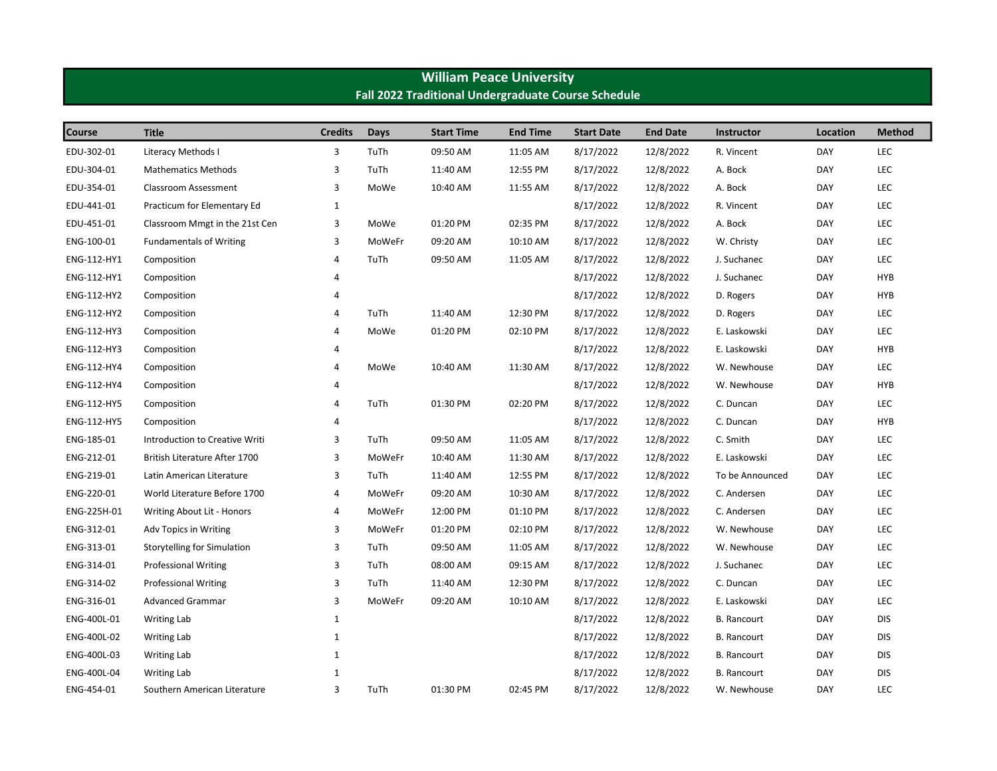| Fall 2022 Traditional Undergraduate Course Schedule |                                |                |               |                   |                 |                   |                 |                    |            |               |  |
|-----------------------------------------------------|--------------------------------|----------------|---------------|-------------------|-----------------|-------------------|-----------------|--------------------|------------|---------------|--|
| Course                                              | <b>Title</b>                   | <b>Credits</b> | Days          | <b>Start Time</b> | <b>End Time</b> | <b>Start Date</b> | <b>End Date</b> | <b>Instructor</b>  | Location   | <b>Method</b> |  |
| EDU-302-01                                          | <b>Literacy Methods I</b>      | 3              | TuTh          | 09:50 AM          | 11:05 AM        | 8/17/2022         | 12/8/2022       | R. Vincent         | DAY        | LEC           |  |
| EDU-304-01                                          | <b>Mathematics Methods</b>     | 3              | TuTh          | 11:40 AM          | 12:55 PM        | 8/17/2022         | 12/8/2022       | A. Bock            | DAY        | LEC           |  |
| EDU-354-01                                          | Classroom Assessment           | 3              | MoWe          | 10:40 AM          | 11:55 AM        | 8/17/2022         | 12/8/2022       | A. Bock            | DAY        | LEC           |  |
| EDU-441-01                                          | Practicum for Elementary Ed    | $\mathbf{1}$   |               |                   |                 | 8/17/2022         | 12/8/2022       | R. Vincent         | DAY        | LEC           |  |
| EDU-451-01                                          | Classroom Mmgt in the 21st Cen | 3              | MoWe          | 01:20 PM          | 02:35 PM        | 8/17/2022         | 12/8/2022       | A. Bock            | DAY        | LEC           |  |
| ENG-100-01                                          | <b>Fundamentals of Writing</b> | 3              | <b>MoWeFr</b> | 09:20 AM          | 10:10 AM        | 8/17/2022         | 12/8/2022       | W. Christy         | DAY        | LEC           |  |
| ENG-112-HY1                                         | Composition                    | 4              | TuTh          | 09:50 AM          | 11:05 AM        | 8/17/2022         | 12/8/2022       | J. Suchanec        | DAY        | <b>LEC</b>    |  |
| ENG-112-HY1                                         | Composition                    | 4              |               |                   |                 | 8/17/2022         | 12/8/2022       | J. Suchanec        | DAY        | <b>HYB</b>    |  |
| ENG-112-HY2                                         | Composition                    | $\overline{4}$ |               |                   |                 | 8/17/2022         | 12/8/2022       | D. Rogers          | DAY        | <b>HYB</b>    |  |
| ENG-112-HY2                                         | Composition                    | $\overline{4}$ | TuTh          | 11:40 AM          | 12:30 PM        | 8/17/2022         | 12/8/2022       | D. Rogers          | DAY        | LEC           |  |
| ENG-112-HY3                                         | Composition                    | 4              | MoWe          | 01:20 PM          | 02:10 PM        | 8/17/2022         | 12/8/2022       | E. Laskowski       | DAY        | <b>LEC</b>    |  |
| ENG-112-HY3                                         | Composition                    | 4              |               |                   |                 | 8/17/2022         | 12/8/2022       | E. Laskowski       | DAY        | <b>HYB</b>    |  |
| ENG-112-HY4                                         | Composition                    | 4              | MoWe          | 10:40 AM          | 11:30 AM        | 8/17/2022         | 12/8/2022       | W. Newhouse        | DAY        | LEC           |  |
| ENG-112-HY4                                         | Composition                    | 4              |               |                   |                 | 8/17/2022         | 12/8/2022       | W. Newhouse        | DAY        | <b>HYB</b>    |  |
| ENG-112-HY5                                         | Composition                    | 4              | TuTh          | 01:30 PM          | 02:20 PM        | 8/17/2022         | 12/8/2022       | C. Duncan          | DAY        | LEC           |  |
| ENG-112-HY5                                         | Composition                    | 4              |               |                   |                 | 8/17/2022         | 12/8/2022       | C. Duncan          | DAY        | <b>HYB</b>    |  |
| ENG-185-01                                          | Introduction to Creative Writi | 3              | TuTh          | 09:50 AM          | 11:05 AM        | 8/17/2022         | 12/8/2022       | C. Smith           | DAY        | LEC           |  |
| ENG-212-01                                          | British Literature After 1700  | 3              | MoWeFr        | 10:40 AM          | 11:30 AM        | 8/17/2022         | 12/8/2022       | E. Laskowski       | DAY        | LEC           |  |
| ENG-219-01                                          | Latin American Literature      | 3              | TuTh          | 11:40 AM          | 12:55 PM        | 8/17/2022         | 12/8/2022       | To be Announced    | DAY        | LEC           |  |
| ENG-220-01                                          | World Literature Before 1700   | 4              | MoWeFr        | 09:20 AM          | 10:30 AM        | 8/17/2022         | 12/8/2022       | C. Andersen        | DAY        | LEC           |  |
| ENG-225H-01                                         | Writing About Lit - Honors     | 4              | MoWeFr        | 12:00 PM          | 01:10 PM        | 8/17/2022         | 12/8/2022       | C. Andersen        | DAY        | LEC           |  |
| ENG-312-01                                          | Adv Topics in Writing          | 3              | MoWeFr        | 01:20 PM          | 02:10 PM        | 8/17/2022         | 12/8/2022       | W. Newhouse        | DAY        | LEC           |  |
| ENG-313-01                                          | Storytelling for Simulation    | 3              | TuTh          | 09:50 AM          | 11:05 AM        | 8/17/2022         | 12/8/2022       | W. Newhouse        | DAY        | LEC           |  |
| ENG-314-01                                          | <b>Professional Writing</b>    | 3              | TuTh          | 08:00 AM          | 09:15 AM        | 8/17/2022         | 12/8/2022       | J. Suchanec        | DAY        | LEC           |  |
| ENG-314-02                                          | <b>Professional Writing</b>    | 3              | TuTh          | 11:40 AM          | 12:30 PM        | 8/17/2022         | 12/8/2022       | C. Duncan          | DAY        | LEC           |  |
| ENG-316-01                                          | <b>Advanced Grammar</b>        | 3              | MoWeFr        | 09:20 AM          | 10:10 AM        | 8/17/2022         | 12/8/2022       | E. Laskowski       | DAY        | LEC           |  |
| ENG-400L-01                                         | <b>Writing Lab</b>             | $\mathbf 1$    |               |                   |                 | 8/17/2022         | 12/8/2022       | <b>B.</b> Rancourt | DAY        | <b>DIS</b>    |  |
| ENG-400L-02                                         | Writing Lab                    | $\mathbf{1}$   |               |                   |                 | 8/17/2022         | 12/8/2022       | <b>B.</b> Rancourt | DAY        | <b>DIS</b>    |  |
| ENG-400L-03                                         | <b>Writing Lab</b>             | $\mathbf{1}$   |               |                   |                 | 8/17/2022         | 12/8/2022       | <b>B.</b> Rancourt | DAY        | <b>DIS</b>    |  |
| ENG-400L-04                                         | <b>Writing Lab</b>             | $\mathbf 1$    |               |                   |                 | 8/17/2022         | 12/8/2022       | <b>B.</b> Rancourt | DAY        | <b>DIS</b>    |  |
| ENG-454-01                                          | Southern American Literature   | 3              | TuTh          | 01:30 PM          | 02:45 PM        | 8/17/2022         | 12/8/2022       | W. Newhouse        | <b>DAY</b> | LEC           |  |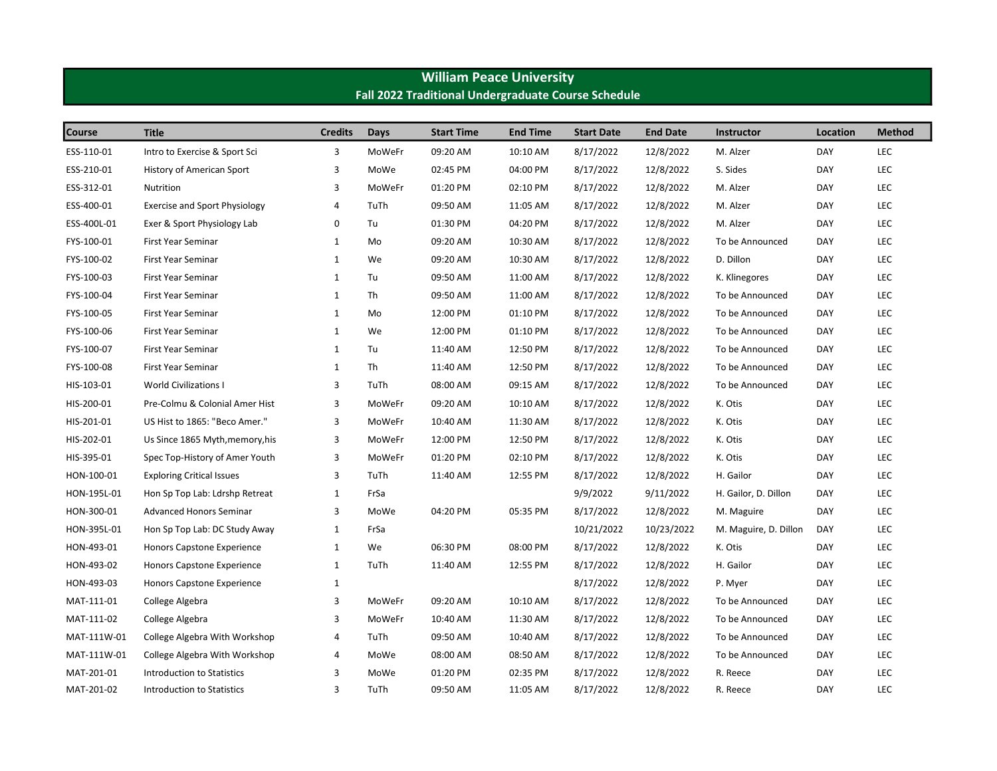| <b>Fall 2022 Traditional Undergraduate Course Schedule</b> |                                      |                |        |                   |                 |                   |                 |                       |            |               |  |
|------------------------------------------------------------|--------------------------------------|----------------|--------|-------------------|-----------------|-------------------|-----------------|-----------------------|------------|---------------|--|
| Course                                                     | <b>Title</b>                         | <b>Credits</b> | Days   | <b>Start Time</b> | <b>End Time</b> | <b>Start Date</b> | <b>End Date</b> | <b>Instructor</b>     | Location   | <b>Method</b> |  |
| ESS-110-01                                                 | Intro to Exercise & Sport Sci        | 3              | MoWeFr | 09:20 AM          | 10:10 AM        | 8/17/2022         | 12/8/2022       | M. Alzer              | DAY        | LEC           |  |
| ESS-210-01                                                 | History of American Sport            | 3              | MoWe   | 02:45 PM          | 04:00 PM        | 8/17/2022         | 12/8/2022       | S. Sides              | <b>DAY</b> | LEC           |  |
| ESS-312-01                                                 | Nutrition                            | 3              | MoWeFr | 01:20 PM          | 02:10 PM        | 8/17/2022         | 12/8/2022       | M. Alzer              | DAY        | LEC           |  |
| ESS-400-01                                                 | <b>Exercise and Sport Physiology</b> | $\overline{4}$ | TuTh   | 09:50 AM          | 11:05 AM        | 8/17/2022         | 12/8/2022       | M. Alzer              | <b>DAY</b> | LEC           |  |
| ESS-400L-01                                                | Exer & Sport Physiology Lab          | 0              | Tu     | 01:30 PM          | 04:20 PM        | 8/17/2022         | 12/8/2022       | M. Alzer              | DAY        | LEC           |  |
| FYS-100-01                                                 | First Year Seminar                   | $\mathbf{1}$   | Mo     | 09:20 AM          | 10:30 AM        | 8/17/2022         | 12/8/2022       | To be Announced       | <b>DAY</b> | LEC           |  |
| FYS-100-02                                                 | First Year Seminar                   | $\mathbf{1}$   | We     | 09:20 AM          | 10:30 AM        | 8/17/2022         | 12/8/2022       | D. Dillon             | DAY        | LEC           |  |
| FYS-100-03                                                 | First Year Seminar                   | $\mathbf{1}$   | Tu     | 09:50 AM          | 11:00 AM        | 8/17/2022         | 12/8/2022       | K. Klinegores         | <b>DAY</b> | LEC           |  |
| FYS-100-04                                                 | First Year Seminar                   | $\mathbf{1}$   | Th     | 09:50 AM          | 11:00 AM        | 8/17/2022         | 12/8/2022       | To be Announced       | DAY        | LEC           |  |
| FYS-100-05                                                 | <b>First Year Seminar</b>            | $\mathbf{1}$   | Mo     | 12:00 PM          | 01:10 PM        | 8/17/2022         | 12/8/2022       | To be Announced       | DAY        | LEC           |  |
| FYS-100-06                                                 | First Year Seminar                   | $\mathbf{1}$   | We     | 12:00 PM          | 01:10 PM        | 8/17/2022         | 12/8/2022       | To be Announced       | DAY        | LEC           |  |
| FYS-100-07                                                 | First Year Seminar                   | $\mathbf{1}$   | Tu     | 11:40 AM          | 12:50 PM        | 8/17/2022         | 12/8/2022       | To be Announced       | <b>DAY</b> | LEC           |  |
| FYS-100-08                                                 | First Year Seminar                   | $\mathbf{1}$   | Th     | 11:40 AM          | 12:50 PM        | 8/17/2022         | 12/8/2022       | To be Announced       | DAY        | LEC           |  |
| HIS-103-01                                                 | <b>World Civilizations I</b>         | 3              | TuTh   | 08:00 AM          | 09:15 AM        | 8/17/2022         | 12/8/2022       | To be Announced       | DAY        | LEC           |  |
| HIS-200-01                                                 | Pre-Colmu & Colonial Amer Hist       | 3              | MoWeFr | 09:20 AM          | 10:10 AM        | 8/17/2022         | 12/8/2022       | K. Otis               | DAY        | LEC           |  |
| HIS-201-01                                                 | US Hist to 1865: "Beco Amer."        | 3              | MoWeFr | 10:40 AM          | 11:30 AM        | 8/17/2022         | 12/8/2022       | K. Otis               | DAY        | LEC           |  |
| HIS-202-01                                                 | Us Since 1865 Myth, memory, his      | 3              | MoWeFr | 12:00 PM          | 12:50 PM        | 8/17/2022         | 12/8/2022       | K. Otis               | <b>DAY</b> | LEC           |  |
| HIS-395-01                                                 | Spec Top-History of Amer Youth       | 3              | MoWeFr | 01:20 PM          | 02:10 PM        | 8/17/2022         | 12/8/2022       | K. Otis               | <b>DAY</b> | LEC           |  |
| HON-100-01                                                 | <b>Exploring Critical Issues</b>     | 3              | TuTh   | 11:40 AM          | 12:55 PM        | 8/17/2022         | 12/8/2022       | H. Gailor             | DAY        | LEC           |  |
| HON-195L-01                                                | Hon Sp Top Lab: Ldrshp Retreat       | $\mathbf{1}$   | FrSa   |                   |                 | 9/9/2022          | 9/11/2022       | H. Gailor, D. Dillon  | DAY        | LEC           |  |
| HON-300-01                                                 | <b>Advanced Honors Seminar</b>       | 3              | MoWe   | 04:20 PM          | 05:35 PM        | 8/17/2022         | 12/8/2022       | M. Maguire            | <b>DAY</b> | LEC           |  |
| HON-395L-01                                                | Hon Sp Top Lab: DC Study Away        | $\mathbf{1}$   | FrSa   |                   |                 | 10/21/2022        | 10/23/2022      | M. Maguire, D. Dillon | <b>DAY</b> | LEC           |  |
| HON-493-01                                                 | Honors Capstone Experience           | $\mathbf{1}$   | We     | 06:30 PM          | 08:00 PM        | 8/17/2022         | 12/8/2022       | K. Otis               | DAY        | LEC           |  |
| HON-493-02                                                 | Honors Capstone Experience           | $\mathbf{1}$   | TuTh   | 11:40 AM          | 12:55 PM        | 8/17/2022         | 12/8/2022       | H. Gailor             | <b>DAY</b> | LEC           |  |
| HON-493-03                                                 | Honors Capstone Experience           | $\mathbf{1}$   |        |                   |                 | 8/17/2022         | 12/8/2022       | P. Myer               | DAY        | LEC           |  |
| MAT-111-01                                                 | College Algebra                      | 3              | MoWeFr | 09:20 AM          | 10:10 AM        | 8/17/2022         | 12/8/2022       | To be Announced       | DAY        | LEC           |  |
| MAT-111-02                                                 | College Algebra                      | 3              | MoWeFr | 10:40 AM          | 11:30 AM        | 8/17/2022         | 12/8/2022       | To be Announced       | DAY        | LEC           |  |
| MAT-111W-01                                                | College Algebra With Workshop        | 4              | TuTh   | 09:50 AM          | 10:40 AM        | 8/17/2022         | 12/8/2022       | To be Announced       | DAY        | LEC           |  |
| MAT-111W-01                                                | College Algebra With Workshop        | 4              | MoWe   | 08:00 AM          | 08:50 AM        | 8/17/2022         | 12/8/2022       | To be Announced       | DAY        | LEC           |  |
| MAT-201-01                                                 | <b>Introduction to Statistics</b>    | 3              | MoWe   | 01:20 PM          | 02:35 PM        | 8/17/2022         | 12/8/2022       | R. Reece              | <b>DAY</b> | LEC           |  |
| MAT-201-02                                                 | Introduction to Statistics           | 3              | TuTh   | 09:50 AM          | 11:05 AM        | 8/17/2022         | 12/8/2022       | R. Reece              | <b>DAY</b> | LEC           |  |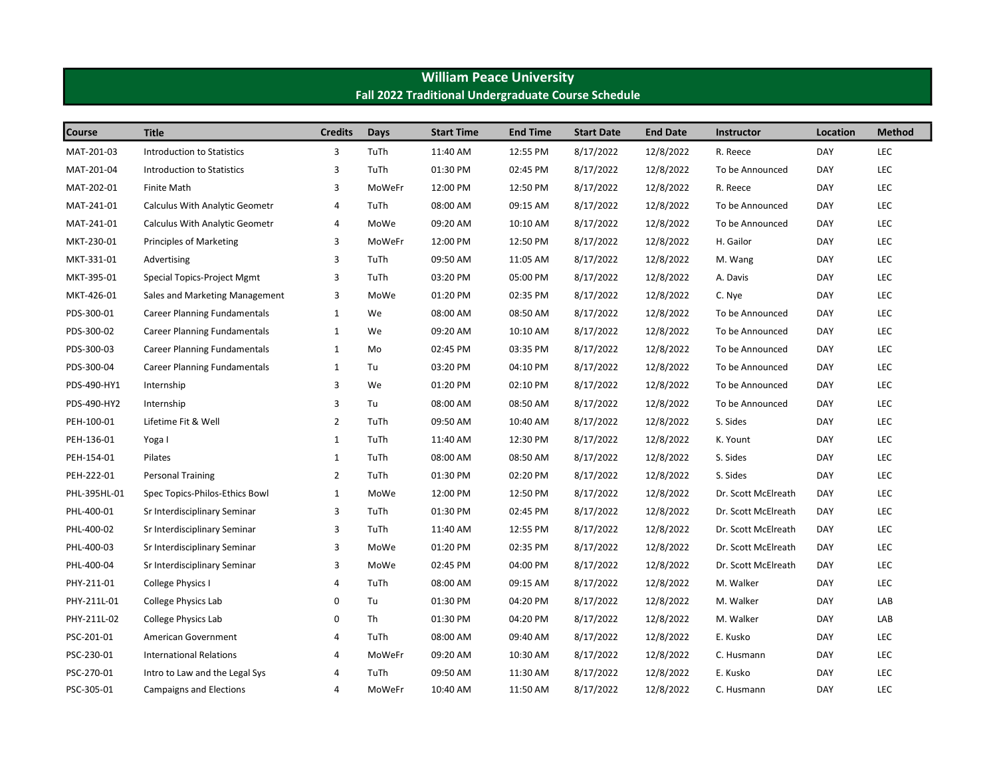| Fall 2022 Traditional Undergraduate Course Schedule |                                       |                |        |                   |                 |                   |                 |                     |            |               |  |
|-----------------------------------------------------|---------------------------------------|----------------|--------|-------------------|-----------------|-------------------|-----------------|---------------------|------------|---------------|--|
| <b>Course</b>                                       | <b>Title</b>                          | <b>Credits</b> | Days   | <b>Start Time</b> | <b>End Time</b> | <b>Start Date</b> | <b>End Date</b> | <b>Instructor</b>   | Location   | <b>Method</b> |  |
| MAT-201-03                                          | Introduction to Statistics            | 3              | TuTh   | 11:40 AM          | 12:55 PM        | 8/17/2022         | 12/8/2022       | R. Reece            | <b>DAY</b> | LEC           |  |
| MAT-201-04                                          | <b>Introduction to Statistics</b>     | 3              | TuTh   | 01:30 PM          | 02:45 PM        | 8/17/2022         | 12/8/2022       | To be Announced     | DAY        | LEC           |  |
| MAT-202-01                                          | <b>Finite Math</b>                    | 3              | MoWeFr | 12:00 PM          | 12:50 PM        | 8/17/2022         | 12/8/2022       | R. Reece            | <b>DAY</b> | LEC           |  |
| MAT-241-01                                          | <b>Calculus With Analytic Geometr</b> | 4              | TuTh   | 08:00 AM          | 09:15 AM        | 8/17/2022         | 12/8/2022       | To be Announced     | <b>DAY</b> | LEC           |  |
| MAT-241-01                                          | <b>Calculus With Analytic Geometr</b> | 4              | MoWe   | 09:20 AM          | 10:10 AM        | 8/17/2022         | 12/8/2022       | To be Announced     | DAY        | LEC           |  |
| MKT-230-01                                          | Principles of Marketing               | 3              | MoWeFr | 12:00 PM          | 12:50 PM        | 8/17/2022         | 12/8/2022       | H. Gailor           | DAY        | LEC           |  |
| MKT-331-01                                          | Advertising                           | 3              | TuTh   | 09:50 AM          | 11:05 AM        | 8/17/2022         | 12/8/2022       | M. Wang             | DAY        | LEC           |  |
| MKT-395-01                                          | Special Topics-Project Mgmt           | 3              | TuTh   | 03:20 PM          | 05:00 PM        | 8/17/2022         | 12/8/2022       | A. Davis            | DAY        | LEC           |  |
| MKT-426-01                                          | Sales and Marketing Management        | 3              | MoWe   | 01:20 PM          | 02:35 PM        | 8/17/2022         | 12/8/2022       | C. Nye              | <b>DAY</b> | LEC           |  |
| PDS-300-01                                          | <b>Career Planning Fundamentals</b>   | $\mathbf{1}$   | We     | 08:00 AM          | 08:50 AM        | 8/17/2022         | 12/8/2022       | To be Announced     | DAY        | LEC           |  |
| PDS-300-02                                          | <b>Career Planning Fundamentals</b>   | 1              | We     | 09:20 AM          | 10:10 AM        | 8/17/2022         | 12/8/2022       | To be Announced     | DAY        | LEC           |  |
| PDS-300-03                                          | <b>Career Planning Fundamentals</b>   | $\mathbf{1}$   | Mo     | 02:45 PM          | 03:35 PM        | 8/17/2022         | 12/8/2022       | To be Announced     | DAY        | LEC           |  |
| PDS-300-04                                          | <b>Career Planning Fundamentals</b>   | $\mathbf{1}$   | Tu     | 03:20 PM          | 04:10 PM        | 8/17/2022         | 12/8/2022       | To be Announced     | <b>DAY</b> | LEC           |  |
| PDS-490-HY1                                         | Internship                            | 3              | We     | 01:20 PM          | 02:10 PM        | 8/17/2022         | 12/8/2022       | To be Announced     | DAY        | <b>LEC</b>    |  |
| PDS-490-HY2                                         | Internship                            | 3              | Tu     | 08:00 AM          | 08:50 AM        | 8/17/2022         | 12/8/2022       | To be Announced     | DAY        | LEC           |  |
| PEH-100-01                                          | Lifetime Fit & Well                   | $\overline{2}$ | TuTh   | 09:50 AM          | 10:40 AM        | 8/17/2022         | 12/8/2022       | S. Sides            | DAY        | <b>LEC</b>    |  |
| PEH-136-01                                          | Yoga I                                | $\mathbf{1}$   | TuTh   | 11:40 AM          | 12:30 PM        | 8/17/2022         | 12/8/2022       | K. Yount            | DAY        | LEC           |  |
| PEH-154-01                                          | Pilates                               | $\mathbf{1}$   | TuTh   | 08:00 AM          | 08:50 AM        | 8/17/2022         | 12/8/2022       | S. Sides            | <b>DAY</b> | LEC           |  |
| PEH-222-01                                          | Personal Training                     | $\overline{2}$ | TuTh   | 01:30 PM          | 02:20 PM        | 8/17/2022         | 12/8/2022       | S. Sides            | <b>DAY</b> | LEC           |  |
| PHL-395HL-01                                        | Spec Topics-Philos-Ethics Bowl        | $\mathbf 1$    | MoWe   | 12:00 PM          | 12:50 PM        | 8/17/2022         | 12/8/2022       | Dr. Scott McElreath | DAY        | LEC           |  |
| PHL-400-01                                          | Sr Interdisciplinary Seminar          | 3              | TuTh   | 01:30 PM          | 02:45 PM        | 8/17/2022         | 12/8/2022       | Dr. Scott McElreath | DAY        | LEC           |  |
| PHL-400-02                                          | Sr Interdisciplinary Seminar          | 3              | TuTh   | 11:40 AM          | 12:55 PM        | 8/17/2022         | 12/8/2022       | Dr. Scott McElreath | DAY        | LEC           |  |
| PHL-400-03                                          | Sr Interdisciplinary Seminar          | 3              | MoWe   | 01:20 PM          | 02:35 PM        | 8/17/2022         | 12/8/2022       | Dr. Scott McElreath | DAY        | LEC           |  |
| PHL-400-04                                          | Sr Interdisciplinary Seminar          | 3              | MoWe   | 02:45 PM          | 04:00 PM        | 8/17/2022         | 12/8/2022       | Dr. Scott McElreath | DAY        | LEC           |  |
| PHY-211-01                                          | College Physics I                     | 4              | TuTh   | 08:00 AM          | 09:15 AM        | 8/17/2022         | 12/8/2022       | M. Walker           | <b>DAY</b> | LEC           |  |
| PHY-211L-01                                         | College Physics Lab                   | 0              | Tu     | 01:30 PM          | 04:20 PM        | 8/17/2022         | 12/8/2022       | M. Walker           | DAY        | LAB           |  |
| PHY-211L-02                                         | College Physics Lab                   | 0              | Th     | 01:30 PM          | 04:20 PM        | 8/17/2022         | 12/8/2022       | M. Walker           | DAY        | LAB           |  |
| PSC-201-01                                          | American Government                   | 4              | TuTh   | 08:00 AM          | 09:40 AM        | 8/17/2022         | 12/8/2022       | E. Kusko            | <b>DAY</b> | LEC           |  |
| PSC-230-01                                          | <b>International Relations</b>        | $\overline{a}$ | MoWeFr | 09:20 AM          | 10:30 AM        | 8/17/2022         | 12/8/2022       | C. Husmann          | DAY        | LEC           |  |
| PSC-270-01                                          | Intro to Law and the Legal Sys        | 4              | TuTh   | 09:50 AM          | 11:30 AM        | 8/17/2022         | 12/8/2022       | E. Kusko            | DAY        | LEC           |  |
| PSC-305-01                                          | Campaigns and Elections               | $\overline{4}$ | MoWeFr | 10:40 AM          | 11:50 AM        | 8/17/2022         | 12/8/2022       | C. Husmann          | <b>DAY</b> | <b>LEC</b>    |  |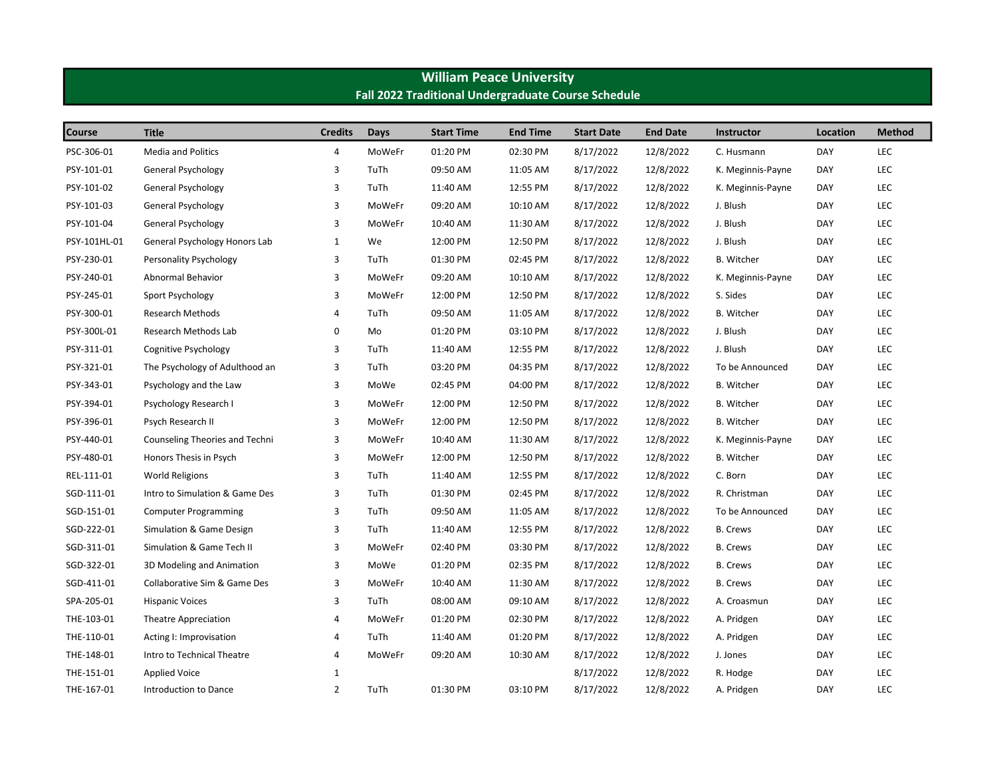| Fall 2022 Traditional Undergraduate Course Schedule |                                |                |             |                   |                 |                   |                 |                   |            |               |  |
|-----------------------------------------------------|--------------------------------|----------------|-------------|-------------------|-----------------|-------------------|-----------------|-------------------|------------|---------------|--|
| <b>Course</b>                                       | <b>Title</b>                   | <b>Credits</b> | <b>Days</b> | <b>Start Time</b> | <b>End Time</b> | <b>Start Date</b> | <b>End Date</b> | <b>Instructor</b> | Location   | <b>Method</b> |  |
| PSC-306-01                                          | <b>Media and Politics</b>      | 4              | MoWeFr      | 01:20 PM          | 02:30 PM        | 8/17/2022         | 12/8/2022       | C. Husmann        | DAY        | LEC           |  |
| PSY-101-01                                          | General Psychology             | 3              | TuTh        | 09:50 AM          | 11:05 AM        | 8/17/2022         | 12/8/2022       | K. Meginnis-Payne | DAY        | LEC           |  |
| PSY-101-02                                          | General Psychology             | 3              | TuTh        | 11:40 AM          | 12:55 PM        | 8/17/2022         | 12/8/2022       | K. Meginnis-Payne | DAY        | LEC           |  |
| PSY-101-03                                          | General Psychology             | 3              | MoWeFr      | 09:20 AM          | 10:10 AM        | 8/17/2022         | 12/8/2022       | J. Blush          | <b>DAY</b> | LEC           |  |
| PSY-101-04                                          | General Psychology             | 3              | MoWeFr      | 10:40 AM          | 11:30 AM        | 8/17/2022         | 12/8/2022       | J. Blush          | DAY        | LEC           |  |
| PSY-101HL-01                                        | General Psychology Honors Lab  | $\mathbf{1}$   | We          | 12:00 PM          | 12:50 PM        | 8/17/2022         | 12/8/2022       | J. Blush          | DAY        | LEC           |  |
| PSY-230-01                                          | Personality Psychology         | 3              | TuTh        | 01:30 PM          | 02:45 PM        | 8/17/2022         | 12/8/2022       | <b>B.</b> Witcher | DAY        | LEC           |  |
| PSY-240-01                                          | Abnormal Behavior              | 3              | MoWeFr      | 09:20 AM          | 10:10 AM        | 8/17/2022         | 12/8/2022       | K. Meginnis-Payne | <b>DAY</b> | LEC           |  |
| PSY-245-01                                          | Sport Psychology               | 3              | MoWeFr      | 12:00 PM          | 12:50 PM        | 8/17/2022         | 12/8/2022       | S. Sides          | DAY        | LEC           |  |
| PSY-300-01                                          | <b>Research Methods</b>        | 4              | TuTh        | 09:50 AM          | 11:05 AM        | 8/17/2022         | 12/8/2022       | <b>B.</b> Witcher | <b>DAY</b> | LEC           |  |
| PSY-300L-01                                         | Research Methods Lab           | 0              | Mo          | 01:20 PM          | 03:10 PM        | 8/17/2022         | 12/8/2022       | J. Blush          | DAY        | LEC           |  |
| PSY-311-01                                          | Cognitive Psychology           | 3              | TuTh        | 11:40 AM          | 12:55 PM        | 8/17/2022         | 12/8/2022       | J. Blush          | DAY        | LEC           |  |
| PSY-321-01                                          | The Psychology of Adulthood an | 3              | TuTh        | 03:20 PM          | 04:35 PM        | 8/17/2022         | 12/8/2022       | To be Announced   | <b>DAY</b> | LEC           |  |
| PSY-343-01                                          | Psychology and the Law         | 3              | MoWe        | 02:45 PM          | 04:00 PM        | 8/17/2022         | 12/8/2022       | <b>B.</b> Witcher | <b>DAY</b> | LEC           |  |
| PSY-394-01                                          | Psychology Research I          | 3              | MoWeFr      | 12:00 PM          | 12:50 PM        | 8/17/2022         | 12/8/2022       | B. Witcher        | DAY        | LEC           |  |
| PSY-396-01                                          | Psych Research II              | 3              | MoWeFr      | 12:00 PM          | 12:50 PM        | 8/17/2022         | 12/8/2022       | <b>B.</b> Witcher | DAY        | LEC           |  |
| PSY-440-01                                          | Counseling Theories and Techni | 3              | MoWeFr      | 10:40 AM          | 11:30 AM        | 8/17/2022         | 12/8/2022       | K. Meginnis-Payne | DAY        | LEC           |  |
| PSY-480-01                                          | Honors Thesis in Psych         | 3              | MoWeFr      | 12:00 PM          | 12:50 PM        | 8/17/2022         | 12/8/2022       | <b>B.</b> Witcher | <b>DAY</b> | LEC           |  |
| REL-111-01                                          | <b>World Religions</b>         | 3              | TuTh        | 11:40 AM          | 12:55 PM        | 8/17/2022         | 12/8/2022       | C. Born           | DAY        | LEC           |  |
| SGD-111-01                                          | Intro to Simulation & Game Des | 3              | TuTh        | 01:30 PM          | 02:45 PM        | 8/17/2022         | 12/8/2022       | R. Christman      | <b>DAY</b> | LEC           |  |
| SGD-151-01                                          | <b>Computer Programming</b>    | 3              | TuTh        | 09:50 AM          | 11:05 AM        | 8/17/2022         | 12/8/2022       | To be Announced   | DAY        | LEC           |  |
| SGD-222-01                                          | Simulation & Game Design       | 3              | TuTh        | 11:40 AM          | 12:55 PM        | 8/17/2022         | 12/8/2022       | <b>B.</b> Crews   | <b>DAY</b> | LEC           |  |
| SGD-311-01                                          | Simulation & Game Tech II      | 3              | MoWeFr      | 02:40 PM          | 03:30 PM        | 8/17/2022         | 12/8/2022       | <b>B.</b> Crews   | DAY        | LEC           |  |
| SGD-322-01                                          | 3D Modeling and Animation      | 3              | MoWe        | 01:20 PM          | 02:35 PM        | 8/17/2022         | 12/8/2022       | <b>B.</b> Crews   | <b>DAY</b> | LEC           |  |
| SGD-411-01                                          | Collaborative Sim & Game Des   | 3              | MoWeFr      | 10:40 AM          | 11:30 AM        | 8/17/2022         | 12/8/2022       | <b>B.</b> Crews   | DAY        | LEC           |  |
| SPA-205-01                                          | <b>Hispanic Voices</b>         | 3              | TuTh        | 08:00 AM          | 09:10 AM        | 8/17/2022         | 12/8/2022       | A. Croasmun       | DAY        | LEC           |  |
| THE-103-01                                          | Theatre Appreciation           | $\overline{4}$ | MoWeFr      | 01:20 PM          | 02:30 PM        | 8/17/2022         | 12/8/2022       | A. Pridgen        | <b>DAY</b> | LEC           |  |
| THE-110-01                                          | Acting I: Improvisation        | 4              | TuTh        | 11:40 AM          | 01:20 PM        | 8/17/2022         | 12/8/2022       | A. Pridgen        | DAY        | LEC           |  |
| THE-148-01                                          | Intro to Technical Theatre     | 4              | MoWeFr      | 09:20 AM          | 10:30 AM        | 8/17/2022         | 12/8/2022       | J. Jones          | <b>DAY</b> | LEC           |  |
| THE-151-01                                          | <b>Applied Voice</b>           | 1              |             |                   |                 | 8/17/2022         | 12/8/2022       | R. Hodge          | <b>DAY</b> | LEC           |  |
| THE-167-01                                          | Introduction to Dance          | $\overline{2}$ | TuTh        | 01:30 PM          | 03:10 PM        | 8/17/2022         | 12/8/2022       | A. Pridgen        | <b>DAY</b> | <b>LEC</b>    |  |